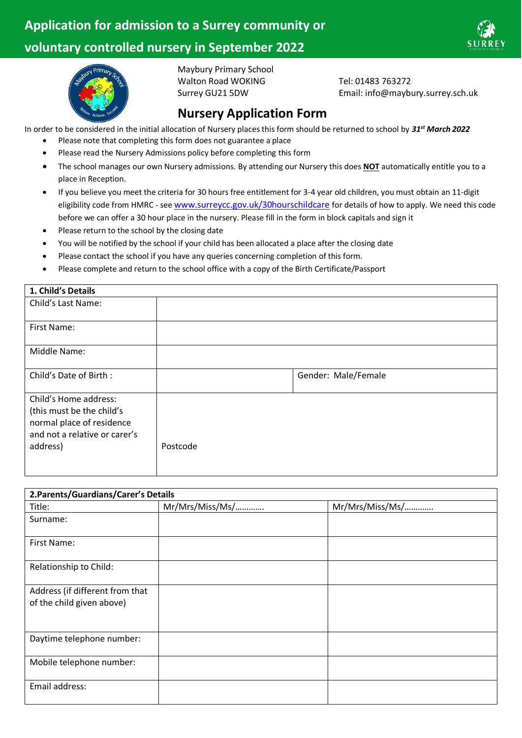

Tel: 01483 763272

Email: info@maybury.surrey.sch.uk



Maybury Primary School Walton Road WOKING Surrey GU21 5DW

# **Nursery Application Form**

In order to be considered in the initial allocation of Nursery places this form should be returned to school by *31st March 2022*

- Please note that completing this form does not guarantee a place
- Please read the Nursery Admissions policy before completing this form
- The school manages our own Nursery admissions. By attending our Nursery this does **NOT** automatically entitle you to a place in Reception.
- If you believe you meet the criteria for 30 hours free entitlement for 3-4 year old children, you must obtain an 11-digit eligibility code from HMRC - see [www.surreycc.gov.uk/30hourschildcare](http://www.surreycc.gov.uk/30hourschildcare) for details of how to apply. We need this code before we can offer a 30 hour place in the nursery. Please fill in the form in block capitals and sign it
- Please return to the school by the closing date
- You will be notified by the school if your child has been allocated a place after the closing date
- Please contact the school if you have any queries concerning completion of this form.
- Please complete and return to the school office with a copy of the Birth Certificate/Passport

| 1. Child's Details                                                                                               |          |                     |
|------------------------------------------------------------------------------------------------------------------|----------|---------------------|
| Child's Last Name:                                                                                               |          |                     |
| First Name:                                                                                                      |          |                     |
| Middle Name:                                                                                                     |          |                     |
| Child's Date of Birth:                                                                                           |          | Gender: Male/Female |
| Child's Home address:<br>(this must be the child's<br>normal place of residence<br>and not a relative or carer's |          |                     |
| address)                                                                                                         | Postcode |                     |

| 2. Parents/Guardians/Carer's Details |                 |                 |  |
|--------------------------------------|-----------------|-----------------|--|
| Title:                               | Mr/Mrs/Miss/Ms/ | Mr/Mrs/Miss/Ms/ |  |
| Surname:                             |                 |                 |  |
| First Name:                          |                 |                 |  |
| Relationship to Child:               |                 |                 |  |
| Address (if different from that      |                 |                 |  |
| of the child given above)            |                 |                 |  |
| Daytime telephone number:            |                 |                 |  |
| Mobile telephone number:             |                 |                 |  |
| Email address:                       |                 |                 |  |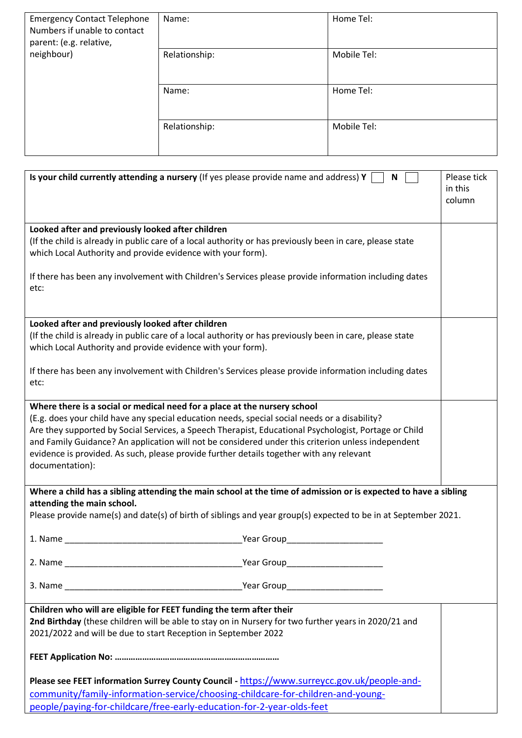| <b>Emergency Contact Telephone</b><br>Numbers if unable to contact<br>parent: (e.g. relative, | Name:         | Home Tel:   |
|-----------------------------------------------------------------------------------------------|---------------|-------------|
| neighbour)                                                                                    | Relationship: | Mobile Tel: |
|                                                                                               | Name:         | Home Tel:   |
|                                                                                               | Relationship: | Mobile Tel: |

| Is your child currently attending a nursery (If yes please provide name and address) Y<br>N                                                                                                                                                                                                                                                                                                                                                                                                              | Please tick<br>in this<br>column |
|----------------------------------------------------------------------------------------------------------------------------------------------------------------------------------------------------------------------------------------------------------------------------------------------------------------------------------------------------------------------------------------------------------------------------------------------------------------------------------------------------------|----------------------------------|
| Looked after and previously looked after children<br>(If the child is already in public care of a local authority or has previously been in care, please state<br>which Local Authority and provide evidence with your form).                                                                                                                                                                                                                                                                            |                                  |
| If there has been any involvement with Children's Services please provide information including dates<br>etc:                                                                                                                                                                                                                                                                                                                                                                                            |                                  |
| Looked after and previously looked after children                                                                                                                                                                                                                                                                                                                                                                                                                                                        |                                  |
| (If the child is already in public care of a local authority or has previously been in care, please state<br>which Local Authority and provide evidence with your form).                                                                                                                                                                                                                                                                                                                                 |                                  |
| If there has been any involvement with Children's Services please provide information including dates<br>etc:                                                                                                                                                                                                                                                                                                                                                                                            |                                  |
| Where there is a social or medical need for a place at the nursery school<br>(E.g. does your child have any special education needs, special social needs or a disability?<br>Are they supported by Social Services, a Speech Therapist, Educational Psychologist, Portage or Child<br>and Family Guidance? An application will not be considered under this criterion unless independent<br>evidence is provided. As such, please provide further details together with any relevant<br>documentation): |                                  |
| Where a child has a sibling attending the main school at the time of admission or is expected to have a sibling                                                                                                                                                                                                                                                                                                                                                                                          |                                  |
| attending the main school.<br>Please provide name(s) and date(s) of birth of siblings and year group(s) expected to be in at September 2021.                                                                                                                                                                                                                                                                                                                                                             |                                  |
| 1. Name<br>Year Group                                                                                                                                                                                                                                                                                                                                                                                                                                                                                    |                                  |
|                                                                                                                                                                                                                                                                                                                                                                                                                                                                                                          |                                  |
|                                                                                                                                                                                                                                                                                                                                                                                                                                                                                                          |                                  |
| Children who will are eligible for FEET funding the term after their                                                                                                                                                                                                                                                                                                                                                                                                                                     |                                  |
| 2nd Birthday (these children will be able to stay on in Nursery for two further years in 2020/21 and                                                                                                                                                                                                                                                                                                                                                                                                     |                                  |
| 2021/2022 and will be due to start Reception in September 2022                                                                                                                                                                                                                                                                                                                                                                                                                                           |                                  |
|                                                                                                                                                                                                                                                                                                                                                                                                                                                                                                          |                                  |
| Please see FEET information Surrey County Council - https://www.surreycc.gov.uk/people-and-                                                                                                                                                                                                                                                                                                                                                                                                              |                                  |
| community/family-information-service/choosing-childcare-for-children-and-young-                                                                                                                                                                                                                                                                                                                                                                                                                          |                                  |
| people/paying-for-childcare/free-early-education-for-2-year-olds-feet                                                                                                                                                                                                                                                                                                                                                                                                                                    |                                  |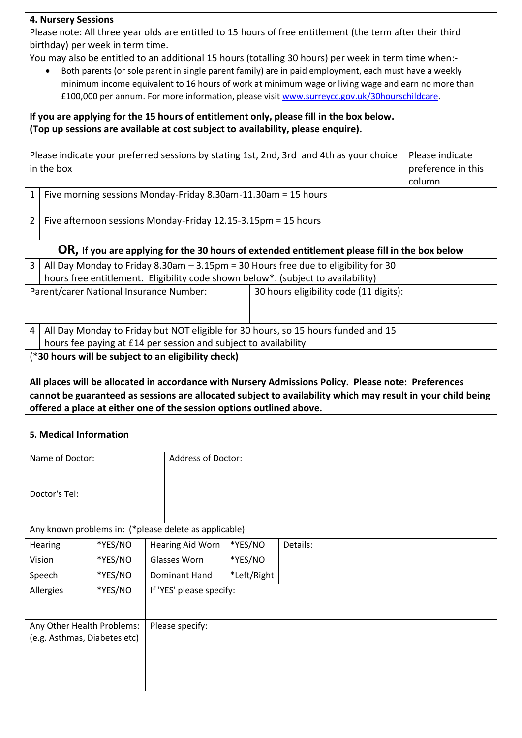## **4. Nursery Sessions**

Please note: All three year olds are entitled to 15 hours of free entitlement (the term after their third birthday) per week in term time.

You may also be entitled to an additional 15 hours (totalling 30 hours) per week in term time when:-

• Both parents (or sole parent in single parent family) are in paid employment, each must have a weekly minimum income equivalent to 16 hours of work at minimum wage or living wage and earn no more than £100,000 per annum. For more information, please visit [www.surreycc.gov.uk/30hourschildcare.](http://www.surreycc.gov.uk/30hourschildcare)

**If you are applying for the 15 hours of entitlement only, please fill in the box below. (Top up sessions are available at cost subject to availability, please enquire).**

|                | Please indicate your preferred sessions by stating 1st, 2nd, 3rd and 4th as your choice<br>in the box                                                                    | Please indicate<br>preference in this<br>column |  |  |
|----------------|--------------------------------------------------------------------------------------------------------------------------------------------------------------------------|-------------------------------------------------|--|--|
| 1              | Five morning sessions Monday-Friday 8.30am-11.30am = 15 hours                                                                                                            |                                                 |  |  |
| $\overline{2}$ | Five afternoon sessions Monday-Friday 12.15-3.15pm = 15 hours                                                                                                            |                                                 |  |  |
|                | OR, If you are applying for the 30 hours of extended entitlement please fill in the box below                                                                            |                                                 |  |  |
| 3              | All Day Monday to Friday 8.30am $-3.15$ pm = 30 Hours free due to eligibility for 30<br>hours free entitlement. Eligibility code shown below*. (subject to availability) |                                                 |  |  |
|                | Parent/carer National Insurance Number:<br>30 hours eligibility code (11 digits):                                                                                        |                                                 |  |  |
| 4              | All Day Monday to Friday but NOT eligible for 30 hours, so 15 hours funded and 15                                                                                        |                                                 |  |  |
|                | hours fee paying at £14 per session and subject to availability                                                                                                          |                                                 |  |  |
|                | (*30 hours will be subject to an eligibility check)                                                                                                                      |                                                 |  |  |

**All places will be allocated in accordance with Nursery Admissions Policy. Please note: Preferences cannot be guaranteed as sessions are allocated subject to availability which may result in your child being offered a place at either one of the session options outlined above.**

| 5. Medical Information                        |         |                                                       |             |          |
|-----------------------------------------------|---------|-------------------------------------------------------|-------------|----------|
| Name of Doctor:                               |         | <b>Address of Doctor:</b>                             |             |          |
| Doctor's Tel:                                 |         |                                                       |             |          |
|                                               |         | Any known problems in: (*please delete as applicable) |             |          |
| Hearing                                       | *YES/NO | Hearing Aid Worn                                      | *YES/NO     | Details: |
| Vision                                        | *YES/NO | Glasses Worn                                          | *YES/NO     |          |
| Speech                                        | *YES/NO | Dominant Hand                                         | *Left/Right |          |
| Allergies                                     | *YES/NO | If 'YES' please specify:                              |             |          |
| Any Other Health Problems:<br>Please specify: |         |                                                       |             |          |
| (e.g. Asthmas, Diabetes etc)                  |         |                                                       |             |          |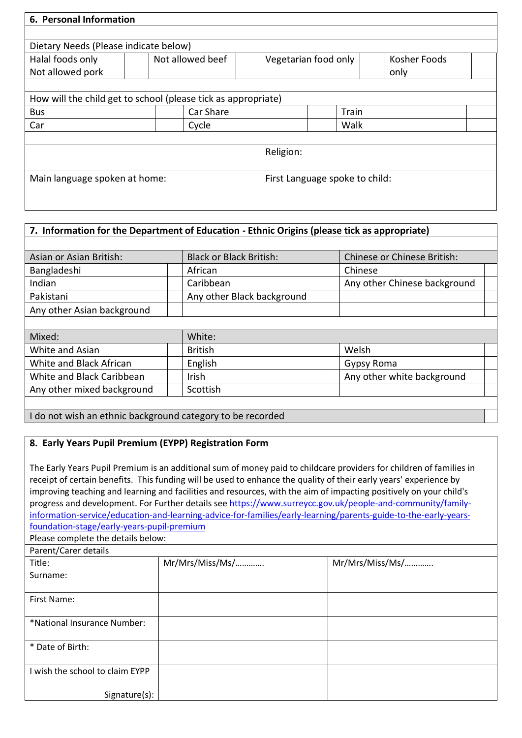| 6. Personal Information                                       |  |                  |           |                                |              |
|---------------------------------------------------------------|--|------------------|-----------|--------------------------------|--------------|
|                                                               |  |                  |           |                                |              |
| Dietary Needs (Please indicate below)<br>Halal foods only     |  | Not allowed beef |           | Vegetarian food only           | Kosher Foods |
| Not allowed pork                                              |  |                  |           |                                | only         |
|                                                               |  |                  |           |                                |              |
| How will the child get to school (please tick as appropriate) |  |                  |           |                                |              |
| <b>Bus</b>                                                    |  | Car Share        |           | Train                          |              |
| Car                                                           |  | Cycle            |           | Walk                           |              |
|                                                               |  |                  |           |                                |              |
|                                                               |  |                  | Religion: |                                |              |
|                                                               |  |                  |           |                                |              |
| Main language spoken at home:                                 |  |                  |           | First Language spoke to child: |              |
|                                                               |  |                  |           |                                |              |
|                                                               |  |                  |           |                                |              |

| 7. Information for the Department of Education - Ethnic Origins (please tick as appropriate) |                                            |                              |  |  |
|----------------------------------------------------------------------------------------------|--------------------------------------------|------------------------------|--|--|
|                                                                                              |                                            |                              |  |  |
| Asian or Asian British:                                                                      | <b>Black or Black British:</b>             | Chinese or Chinese British:  |  |  |
| Bangladeshi                                                                                  | African                                    | Chinese                      |  |  |
| Indian                                                                                       | Caribbean                                  | Any other Chinese background |  |  |
| Pakistani                                                                                    | Any other Black background                 |                              |  |  |
| Any other Asian background                                                                   |                                            |                              |  |  |
|                                                                                              |                                            |                              |  |  |
| Mixed:                                                                                       | White:                                     |                              |  |  |
| White and Asian                                                                              | <b>British</b>                             | Welsh                        |  |  |
| White and Black African                                                                      | English                                    | Gypsy Roma                   |  |  |
| White and Black Caribbean                                                                    | <b>Irish</b><br>Any other white background |                              |  |  |
| Any other mixed background                                                                   | Scottish                                   |                              |  |  |
|                                                                                              |                                            |                              |  |  |
| I do not wish an ethnic background category to be recorded                                   |                                            |                              |  |  |

## **8. Early Years Pupil Premium (EYPP) Registration Form**

The Early Years Pupil Premium is an additional sum of money paid to childcare providers for children of families in receipt of certain benefits. This funding will be used to enhance the quality of their early years' experience by improving teaching and learning and facilities and resources, with the aim of impacting positively on your child's progress and development. For Further details se[e https://www.surreycc.gov.uk/people-and-community/family](https://www.surreycc.gov.uk/people-and-community/family-information-service/education-and-learning-advice-for-families/early-learning/parents-guide-to-the-early-years-foundation-stage/early-years-pupil-premium)[information-service/education-and-learning-advice-for-families/early-learning/parents-guide-to-the-early-years](https://www.surreycc.gov.uk/people-and-community/family-information-service/education-and-learning-advice-for-families/early-learning/parents-guide-to-the-early-years-foundation-stage/early-years-pupil-premium)[foundation-stage/early-years-pupil-premium](https://www.surreycc.gov.uk/people-and-community/family-information-service/education-and-learning-advice-for-families/early-learning/parents-guide-to-the-early-years-foundation-stage/early-years-pupil-premium)

Please complete the details below:

| Parent/Carer details            |                 |                 |
|---------------------------------|-----------------|-----------------|
| Title:                          | Mr/Mrs/Miss/Ms/ | Mr/Mrs/Miss/Ms/ |
| Surname:                        |                 |                 |
|                                 |                 |                 |
| First Name:                     |                 |                 |
|                                 |                 |                 |
| *National Insurance Number:     |                 |                 |
|                                 |                 |                 |
| * Date of Birth:                |                 |                 |
|                                 |                 |                 |
| I wish the school to claim EYPP |                 |                 |
|                                 |                 |                 |
| Signature(s):                   |                 |                 |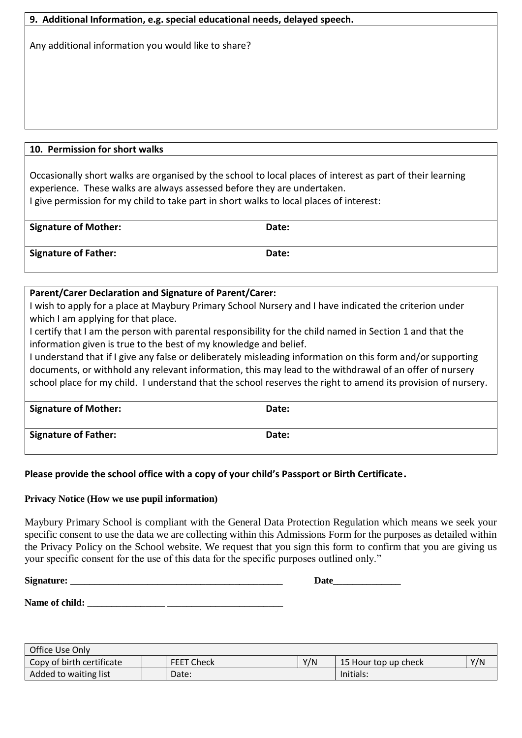| 9. Additional Information, e.g. special educational needs, delayed speech. |  |  |
|----------------------------------------------------------------------------|--|--|
| Any additional information you would like to share?                        |  |  |
|                                                                            |  |  |
|                                                                            |  |  |
|                                                                            |  |  |
|                                                                            |  |  |
|                                                                            |  |  |
| 10. Permission for short walks                                             |  |  |

Occasionally short walks are organised by the school to local places of interest as part of their learning experience. These walks are always assessed before they are undertaken. I give permission for my child to take part in short walks to local places of interest:

| Signature of Mother: | Date: |
|----------------------|-------|
| Signature of Father: | Date: |

# **Parent/Carer Declaration and Signature of Parent/Carer:**

I wish to apply for a place at Maybury Primary School Nursery and I have indicated the criterion under which I am applying for that place.

I certify that I am the person with parental responsibility for the child named in Section 1 and that the information given is true to the best of my knowledge and belief.

I understand that if I give any false or deliberately misleading information on this form and/or supporting documents, or withhold any relevant information, this may lead to the withdrawal of an offer of nursery school place for my child. I understand that the school reserves the right to amend its provision of nursery.

| <sup>'</sup> Signature of Mother: | Date: |
|-----------------------------------|-------|
| <sup>1</sup> Signature of Father: | Date: |

## **Please provide the school office with a copy of your child's Passport or Birth Certificate.**

### **Privacy Notice (How we use pupil information)**

Maybury Primary School is compliant with the General Data Protection Regulation which means we seek your specific consent to use the data we are collecting within this Admissions Form for the purposes as detailed within the Privacy Policy on the School website. We request that you sign this form to confirm that you are giving us your specific consent for the use of this data for the specific purposes outlined only."

**Signature:**  $\qquad \qquad$  Date

Name of child:

| Office Use Only           |                   |     |                      |     |
|---------------------------|-------------------|-----|----------------------|-----|
| Copy of birth certificate | <b>FEET Check</b> | Y/N | 15 Hour top up check | Y/N |
| Added to waiting list     | Date:             |     | Initials:            |     |